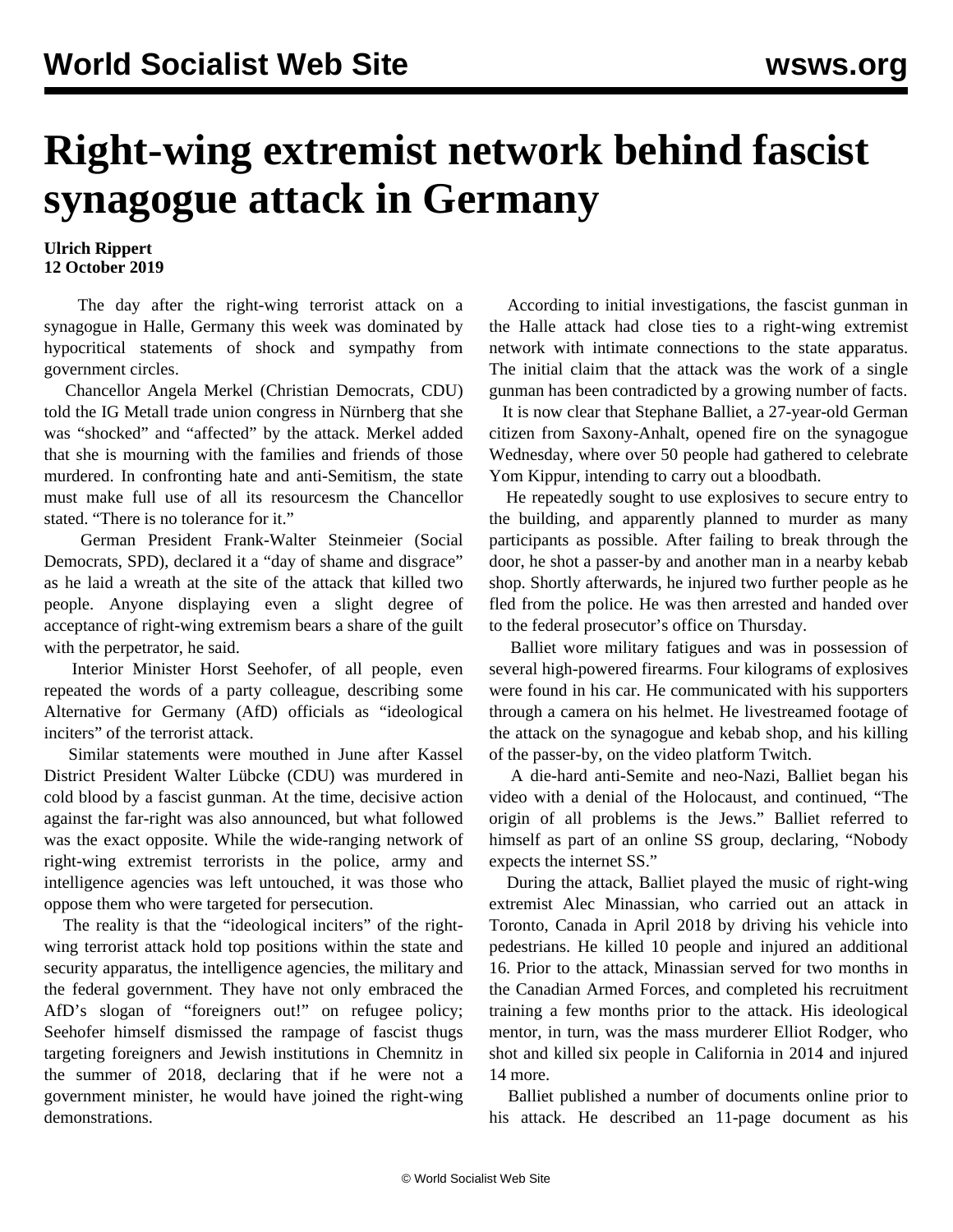## **Right-wing extremist network behind fascist synagogue attack in Germany**

## **Ulrich Rippert 12 October 2019**

 The day after the right-wing terrorist attack on a synagogue in Halle, Germany this week was dominated by hypocritical statements of shock and sympathy from government circles.

 Chancellor Angela Merkel (Christian Democrats, CDU) told the IG Metall trade union congress in Nürnberg that she was "shocked" and "affected" by the attack. Merkel added that she is mourning with the families and friends of those murdered. In confronting hate and anti-Semitism, the state must make full use of all its resourcesm the Chancellor stated. "There is no tolerance for it."

 German President Frank-Walter Steinmeier (Social Democrats, SPD), declared it a "day of shame and disgrace" as he laid a wreath at the site of the attack that killed two people. Anyone displaying even a slight degree of acceptance of right-wing extremism bears a share of the guilt with the perpetrator, he said.

 Interior Minister Horst Seehofer, of all people, even repeated the words of a party colleague, describing some Alternative for Germany (AfD) officials as "ideological inciters" of the terrorist attack.

 Similar statements were mouthed in June after Kassel District President Walter Lübcke (CDU) was murdered in cold blood by a fascist gunman. At the time, decisive action against the far-right was also announced, but what followed was the exact opposite. While the wide-ranging network of right-wing extremist terrorists in the police, army and intelligence agencies was left untouched, it was those who oppose them who were targeted for persecution.

 The reality is that the "ideological inciters" of the rightwing terrorist attack hold top positions within the state and security apparatus, the intelligence agencies, the military and the federal government. They have not only embraced the AfD's slogan of "foreigners out!" on refugee policy; Seehofer himself dismissed the rampage of fascist thugs targeting foreigners and Jewish institutions in Chemnitz in the summer of 2018, declaring that if he were not a government minister, he would have joined the right-wing demonstrations.

 According to initial investigations, the fascist gunman in the Halle attack had close ties to a right-wing extremist network with intimate connections to the state apparatus. The initial claim that the attack was the work of a single gunman has been contradicted by a growing number of facts.

 It is now clear that Stephane Balliet, a 27-year-old German citizen from Saxony-Anhalt, opened fire on the synagogue Wednesday, where over 50 people had gathered to celebrate Yom Kippur, intending to carry out a bloodbath.

 He repeatedly sought to use explosives to secure entry to the building, and apparently planned to murder as many participants as possible. After failing to break through the door, he shot a passer-by and another man in a nearby kebab shop. Shortly afterwards, he injured two further people as he fled from the police. He was then arrested and handed over to the federal prosecutor's office on Thursday.

 Balliet wore military fatigues and was in possession of several high-powered firearms. Four kilograms of explosives were found in his car. He communicated with his supporters through a camera on his helmet. He livestreamed footage of the attack on the synagogue and kebab shop, and his killing of the passer-by, on the video platform Twitch.

 A die-hard anti-Semite and neo-Nazi, Balliet began his video with a denial of the Holocaust, and continued, "The origin of all problems is the Jews." Balliet referred to himself as part of an online SS group, declaring, "Nobody expects the internet SS."

 During the attack, Balliet played the music of right-wing extremist Alec Minassian, who carried out an attack in Toronto, Canada in April 2018 by driving his vehicle into pedestrians. He killed 10 people and injured an additional 16. Prior to the attack, Minassian served for two months in the Canadian Armed Forces, and completed his recruitment training a few months prior to the attack. His ideological mentor, in turn, was the mass murderer Elliot Rodger, who shot and killed six people in California in 2014 and injured 14 more.

 Balliet published a number of documents online prior to his attack. He described an 11-page document as his